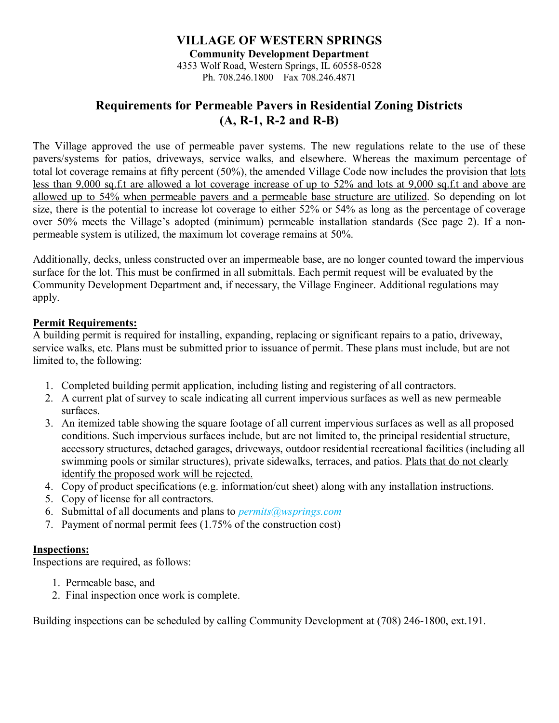## **VILLAGE OF WESTERN SPRINGS Community Development Department** 4353 Wolf Road, Western Springs, IL 60558-0528 Ph. 708.246.1800 Fax 708.246.4871

# **Requirements for Permeable Pavers in Residential Zoning Districts (A, R-1, R-2 and R-B)**

The Village approved the use of permeable paver systems. The new regulations relate to the use of these pavers/systems for patios, driveways, service walks, and elsewhere. Whereas the maximum percentage of total lot coverage remains at fifty percent (50%), the amended Village Code now includes the provision that lots less than 9,000 sq.f.t are allowed a lot coverage increase of up to 52% and lots at 9,000 sq.f.t and above are allowed up to 54% when permeable pavers and a permeable base structure are utilized. So depending on lot size, there is the potential to increase lot coverage to either 52% or 54% as long as the percentage of coverage over 50% meets the Village's adopted (minimum) permeable installation standards (See page 2). If a nonpermeable system is utilized, the maximum lot coverage remains at 50%.

Additionally, decks, unless constructed over an impermeable base, are no longer counted toward the impervious surface for the lot. This must be confirmed in all submittals. Each permit request will be evaluated by the Community Development Department and, if necessary, the Village Engineer. Additional regulations may apply.

### **Permit Requirements:**

A building permit is required for installing, expanding, replacing or significant repairs to a patio, driveway, service walks, etc. Plans must be submitted prior to issuance of permit. These plans must include, but are not limited to, the following:

- 1. Completed building permit application, including listing and registering of all contractors.
- 2. A current plat of survey to scale indicating all current impervious surfaces as well as new permeable surfaces.
- 3. An itemized table showing the square footage of all current impervious surfaces as well as all proposed conditions. Such impervious surfaces include, but are not limited to, the principal residential structure, accessory structures, detached garages, driveways, outdoor residential recreational facilities (including all swimming pools or similar structures), private sidewalks, terraces, and patios. Plats that do not clearly identify the proposed work will be rejected.
- 4. Copy of product specifications (e.g. information/cut sheet) along with any installation instructions.
- 5. Copy of license for all contractors.
- 6. Submittal of all documents and plans to *permits@wsprings.com*
- 7. Payment of normal permit fees (1.75% of the construction cost)

#### **Inspections:**

Inspections are required, as follows:

- 1. Permeable base, and
- 2. Final inspection once work is complete.

Building inspections can be scheduled by calling Community Development at (708) 246-1800, ext.191.